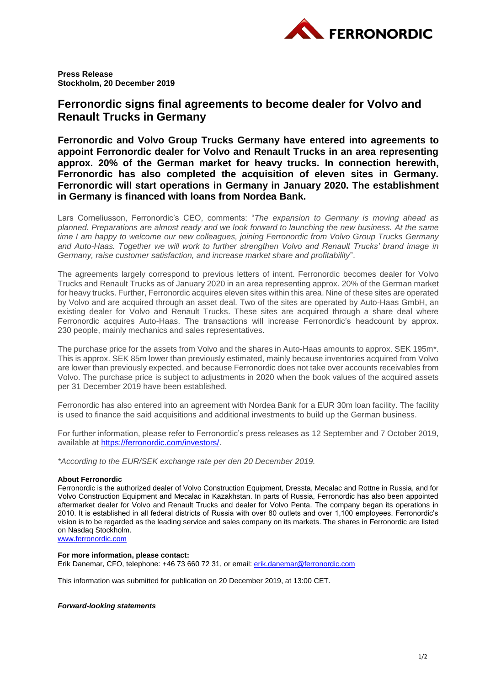

**Press Release Stockholm, 20 December 2019**

## **Ferronordic signs final agreements to become dealer for Volvo and Renault Trucks in Germany**

**Ferronordic and Volvo Group Trucks Germany have entered into agreements to appoint Ferronordic dealer for Volvo and Renault Trucks in an area representing approx. 20% of the German market for heavy trucks. In connection herewith, Ferronordic has also completed the acquisition of eleven sites in Germany. Ferronordic will start operations in Germany in January 2020. The establishment in Germany is financed with loans from Nordea Bank.**

Lars Corneliusson, Ferronordic's CEO, comments: "*The expansion to Germany is moving ahead as planned. Preparations are almost ready and we look forward to launching the new business. At the same time I am happy to welcome our new colleagues, joining Ferronordic from Volvo Group Trucks Germany and Auto-Haas. Together we will work to further strengthen Volvo and Renault Trucks' brand image in Germany, raise customer satisfaction, and increase market share and profitability*".

The agreements largely correspond to previous letters of intent. Ferronordic becomes dealer for Volvo Trucks and Renault Trucks as of January 2020 in an area representing approx. 20% of the German market for heavy trucks. Further, Ferronordic acquires eleven sites within this area. Nine of these sites are operated by Volvo and are acquired through an asset deal. Two of the sites are operated by Auto-Haas GmbH, an existing dealer for Volvo and Renault Trucks. These sites are acquired through a share deal where Ferronordic acquires Auto-Haas. The transactions will increase Ferronordic's headcount by approx. 230 people, mainly mechanics and sales representatives.

The purchase price for the assets from Volvo and the shares in Auto-Haas amounts to approx. SEK 195m\*. This is approx. SEK 85m lower than previously estimated, mainly because inventories acquired from Volvo are lower than previously expected, and because Ferronordic does not take over accounts receivables from Volvo. The purchase price is subject to adjustments in 2020 when the book values of the acquired assets per 31 December 2019 have been established.

Ferronordic has also entered into an agreement with Nordea Bank for a EUR 30m loan facility. The facility is used to finance the said acquisitions and additional investments to build up the German business.

For further information, please refer to Ferronordic's press releases as 12 September and 7 October 2019, available at [https://ferronordic.com/investors/.](https://ferronordic.com/investors/)

*\*According to the EUR/SEK exchange rate per den 20 December 2019.*

## **About Ferronordic**

Ferronordic is the authorized dealer of Volvo Construction Equipment, Dressta, Mecalac and Rottne in Russia, and for Volvo Construction Equipment and Mecalac in Kazakhstan. In parts of Russia, Ferronordic has also been appointed aftermarket dealer for Volvo and Renault Trucks and dealer for Volvo Penta. The company began its operations in 2010. It is established in all federal districts of Russia with over 80 outlets and over 1,100 employees. Ferronordic's vision is to be regarded as the leading service and sales company on its markets. The shares in Ferronordic are listed on Nasdaq Stockholm.

[www.ferronordic.com](http://www.ferronordic.com/)

## **For more information, please contact:**

Erik Danemar, CFO, telephone: +46 73 660 72 31, or email: [erik.danemar@ferronordic.com](mailto:erik.danemar@ferronordic.com)

This information was submitted for publication on 20 December 2019, at 13:00 CET.

## *Forward-looking statements*